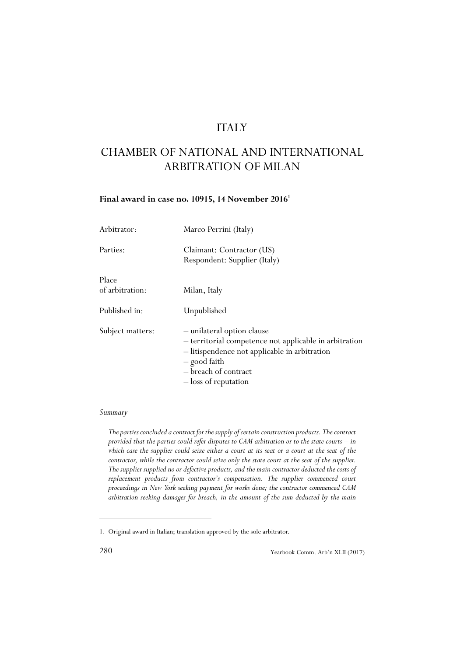# ITALY

# CHAMBER OF NATIONAL AND INTERNATIONAL ARBITRATION OF MILAN

# **Final award in case no. 10915, 14 November 20161**

| Arbitrator:              | Marco Perrini (Italy)                                                                                                                                                                                 |
|--------------------------|-------------------------------------------------------------------------------------------------------------------------------------------------------------------------------------------------------|
| Parties:                 | Claimant: Contractor (US)<br>Respondent: Supplier (Italy)                                                                                                                                             |
| Place<br>of arbitration: | Milan, Italy                                                                                                                                                                                          |
| Published in:            | Unpublished                                                                                                                                                                                           |
| Subject matters:         | - unilateral option clause<br>- territorial competence not applicable in arbitration<br>- litispendence not applicable in arbitration<br>- good faith<br>- breach of contract<br>- loss of reputation |

## *Summary*

*The parties concluded a contract for the supply of certain construction products. The contract provided that the parties could refer disputes to CAM arbitration or to the state courts – in which case the supplier could seize either a court at its seat or a court at the seat of the contractor, while the contractor could seize only the state court at the seat of the supplier. The supplier supplied no or defective products, and the main contractor deducted the costs of replacement products from contractor's compensation. The supplier commenced court proceedings in New York seeking payment for works done; the contractor commenced CAM arbitration seeking damages for breach, in the amount of the sum deducted by the main*

<sup>1.</sup> Original award in Italian; translation approved by the sole arbitrator.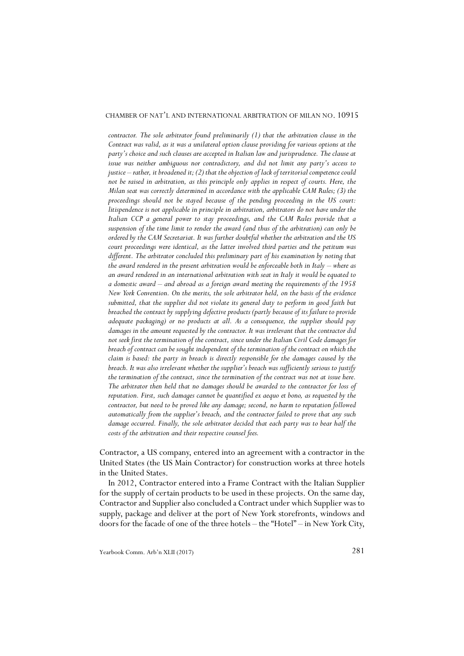#### CHAMBER OF NAT'L AND INTERNATIONAL ARBITRATION OF MILAN NO. 10915

*contractor. The sole arbitrator found preliminarily (1) that the arbitration clause in the Contract was valid, as it was a unilateral option clause providing for various options at the party's choice and such clauses are accepted in Italian law and jurisprudence. The clause at issue was neither ambiguous nor contradictory, and did not limit any party's access to justice – rather, it broadened it; (2) that the objection of lack of territorial competence could not be raised in arbitration, as this principle only applies in respect of courts. Here, the Milan seat was correctly determined in accordance with the applicable CAM Rules; (3) the proceedings should not be stayed because of the pending proceeding in the US court: litispendence is not applicable in principle in arbitration, arbitrators do not have under the Italian CCP a general power to stay proceedings, and the CAM Rules provide that a suspension of the time limit to render the award (and thus of the arbitration) can only be ordered by the CAM Secretariat. It was further doubtful whether the arbitration and the US court proceedings were identical, as the latter involved third parties and the petitum was different. The arbitrator concluded this preliminary part of his examination by noting that the award rendered in the present arbitration would be enforceable both in Italy – where as an award rendered in an international arbitration with seat in Italy it would be equated to a domestic award – and abroad as a foreign award meeting the requirements of the 1958 New York Convention. On the merits, the sole arbitrator held, on the basis of the evidence submitted, that the supplier did not violate its general duty to perform in good faith but breached the contract by supplying defective products (partly because of its failure to provide adequate packaging) or no products at all. As a consequence, the supplier should pay damages in the amount requested by the contractor. It was irrelevant that the contractor did not seek first the termination of the contract, since under the Italian Civil Code damages for breach of contract can be sought independent of the termination of the contract on which the claim is based: the party in breach is directly responsible for the damages caused by the breach. It was also irrelevant whether the supplier's breach was sufficiently serious to justify the termination of the contract, since the termination of the contract was not at issue here. The arbitrator then held that no damages should be awarded to the contractor for loss of reputation. First, such damages cannot be quantified ex aequo et bono, as requested by the contractor, but need to be proved like any damage; second, no harm to reputation followed automatically from the supplier's breach, and the contractor failed to prove that any such damage occurred. Finally, the sole arbitrator decided that each party was to bear half the costs of the arbitration and their respective counsel fees.*

Contractor, a US company, entered into an agreement with a contractor in the United States (the US Main Contractor) for construction works at three hotels in the United States.

In 2012, Contractor entered into a Frame Contract with the Italian Supplier for the supply of certain products to be used in these projects. On the same day, Contractor and Supplier also concluded a Contract under which Supplier was to supply, package and deliver at the port of New York storefronts, windows and doors for the facade of one of the three hotels – the "Hotel" – in New York City,

Yearbook Comm. Arb'n XLII (2017) 281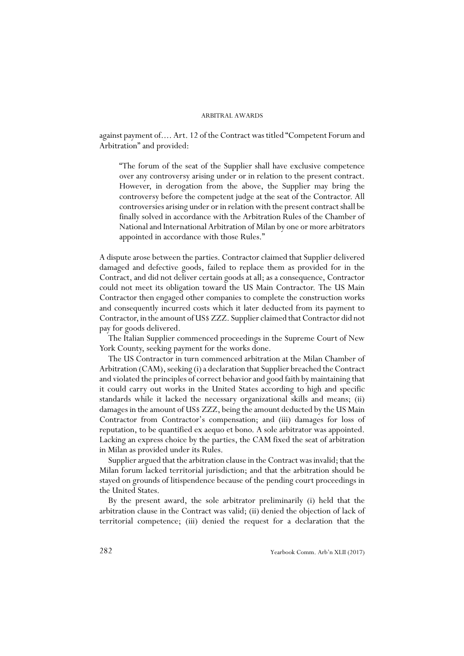against payment of.... Art. 12 of the Contract was titled "Competent Forum and Arbitration" and provided:

"The forum of the seat of the Supplier shall have exclusive competence over any controversy arising under or in relation to the present contract. However, in derogation from the above, the Supplier may bring the controversy before the competent judge at the seat of the Contractor. All controversies arising under or in relation with the present contract shall be finally solved in accordance with the Arbitration Rules of the Chamber of National and International Arbitration of Milan by one or more arbitrators appointed in accordance with those Rules."

A dispute arose between the parties. Contractor claimed that Supplier delivered damaged and defective goods, failed to replace them as provided for in the Contract, and did not deliver certain goods at all; as a consequence, Contractor could not meet its obligation toward the US Main Contractor. The US Main Contractor then engaged other companies to complete the construction works and consequently incurred costs which it later deducted from its payment to Contractor, in the amount of US\$ ZZZ. Supplier claimed that Contractor did not pay for goods delivered.

The Italian Supplier commenced proceedings in the Supreme Court of New York County, seeking payment for the works done.

The US Contractor in turn commenced arbitration at the Milan Chamber of Arbitration (CAM), seeking (i) a declaration that Supplier breached the Contract and violated the principles of correct behavior and good faith by maintaining that it could carry out works in the United States according to high and specific standards while it lacked the necessary organizational skills and means; (ii) damages in the amount of US\$ ZZZ, being the amount deducted by the US Main Contractor from Contractor's compensation; and (iii) damages for loss of reputation, to be quantified ex aequo et bono. A sole arbitrator was appointed. Lacking an express choice by the parties, the CAM fixed the seat of arbitration in Milan as provided under its Rules.

Supplier argued that the arbitration clause in the Contract was invalid; that the Milan forum lacked territorial jurisdiction; and that the arbitration should be stayed on grounds of litispendence because of the pending court proceedings in the United States.

By the present award, the sole arbitrator preliminarily (i) held that the arbitration clause in the Contract was valid; (ii) denied the objection of lack of territorial competence; (iii) denied the request for a declaration that the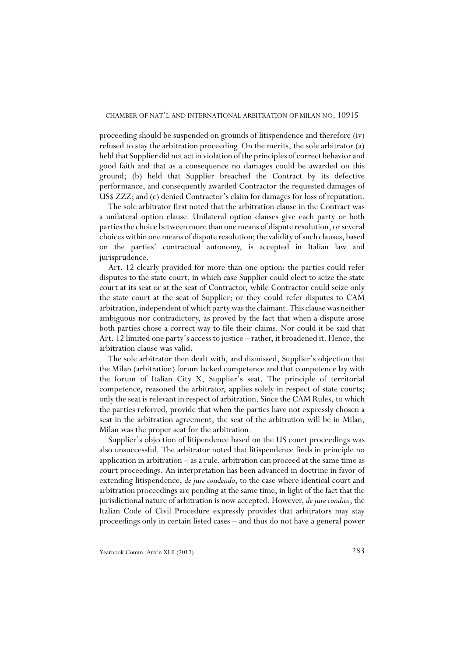proceeding should be suspended on grounds of litispendence and therefore (iv) refused to stay the arbitration proceeding. On the merits, the sole arbitrator (a) held that Supplier did not act in violation of the principles of correct behavior and good faith and that as a consequence no damages could be awarded on this ground; (b) held that Supplier breached the Contract by its defective performance, and consequently awarded Contractor the requested damages of US\$ ZZZ; and (c) denied Contractor's claim for damages for loss of reputation.

The sole arbitrator first noted that the arbitration clause in the Contract was a unilateral option clause. Unilateral option clauses give each party or both parties the choice between more than one means of dispute resolution, or several choices within one means of dispute resolution; the validity of such clauses, based on the parties' contractual autonomy, is accepted in Italian law and jurisprudence.

Art. 12 clearly provided for more than one option: the parties could refer disputes to the state court, in which case Supplier could elect to seize the state court at its seat or at the seat of Contractor, while Contractor could seize only the state court at the seat of Supplier; or they could refer disputes to CAM arbitration, independent of which party was the claimant. This clause was neither ambiguous nor contradictory, as proved by the fact that when a dispute arose both parties chose a correct way to file their claims. Nor could it be said that Art. 12 limited one party's access to justice – rather, it broadened it. Hence, the arbitration clause was valid.

The sole arbitrator then dealt with, and dismissed, Supplier's objection that the Milan (arbitration) forum lacked competence and that competence lay with the forum of Italian City X, Supplier's seat. The principle of territorial competence, reasoned the arbitrator, applies solely in respect of state courts; only the seat is relevant in respect of arbitration. Since the CAM Rules, to which the parties referred, provide that when the parties have not expressly chosen a seat in the arbitration agreement, the seat of the arbitration will be in Milan, Milan was the proper seat for the arbitration.

Supplier's objection of litipendence based on the US court proceedings was also unsuccessful. The arbitrator noted that litispendence finds in principle no application in arbitration – as a rule, arbitration can proceed at the same time as court proceedings. An interpretation has been advanced in doctrine in favor of extending litispendence, *de jure condendo*, to the case where identical court and arbitration proceedings are pending at the same time, in light of the fact that the jurisdictional nature of arbitration is now accepted. However, *de jure condito*, the Italian Code of Civil Procedure expressly provides that arbitrators may stay proceedings only in certain listed cases – and thus do not have a general power

Yearbook Comm. Arb'n XLII (2017) 283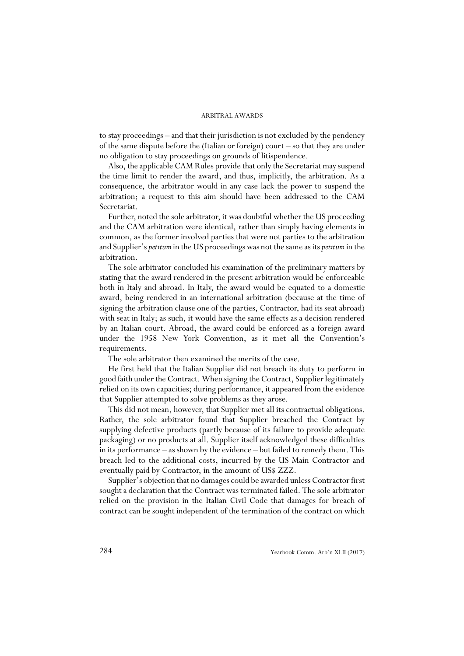to stay proceedings – and that their jurisdiction is not excluded by the pendency of the same dispute before the (Italian or foreign) court – so that they are under no obligation to stay proceedings on grounds of litispendence.

Also, the applicable CAM Rules provide that only the Secretariat may suspend the time limit to render the award, and thus, implicitly, the arbitration. As a consequence, the arbitrator would in any case lack the power to suspend the arbitration; a request to this aim should have been addressed to the CAM Secretariat.

Further, noted the sole arbitrator, it was doubtful whether the US proceeding and the CAM arbitration were identical, rather than simply having elements in common, as the former involved parties that were not parties to the arbitration and Supplier's *petitum* in the US proceedings was not the same as its *petitum* in the arbitration.

The sole arbitrator concluded his examination of the preliminary matters by stating that the award rendered in the present arbitration would be enforceable both in Italy and abroad. In Italy, the award would be equated to a domestic award, being rendered in an international arbitration (because at the time of signing the arbitration clause one of the parties, Contractor, had its seat abroad) with seat in Italy; as such, it would have the same effects as a decision rendered by an Italian court. Abroad, the award could be enforced as a foreign award under the 1958 New York Convention, as it met all the Convention's requirements.

The sole arbitrator then examined the merits of the case.

He first held that the Italian Supplier did not breach its duty to perform in good faith under the Contract. When signing the Contract, Supplier legitimately relied on its own capacities; during performance, it appeared from the evidence that Supplier attempted to solve problems as they arose.

This did not mean, however, that Supplier met all its contractual obligations. Rather, the sole arbitrator found that Supplier breached the Contract by supplying defective products (partly because of its failure to provide adequate packaging) or no products at all. Supplier itself acknowledged these difficulties in its performance – as shown by the evidence – but failed to remedy them. This breach led to the additional costs, incurred by the US Main Contractor and eventually paid by Contractor, in the amount of US\$ ZZZ.

Supplier's objection that no damages could be awarded unless Contractor first sought a declaration that the Contract was terminated failed. The sole arbitrator relied on the provision in the Italian Civil Code that damages for breach of contract can be sought independent of the termination of the contract on which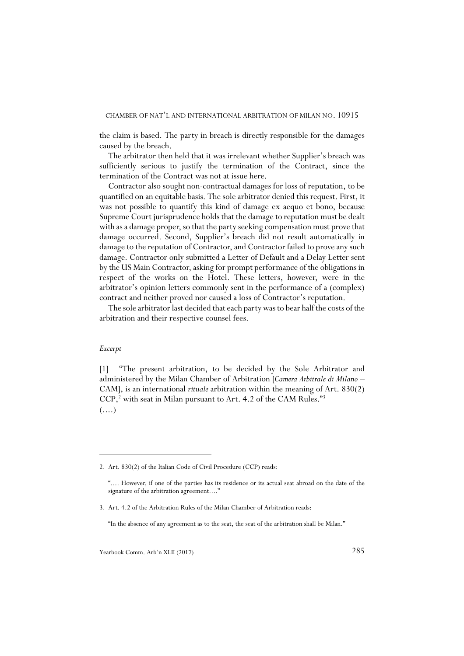the claim is based. The party in breach is directly responsible for the damages caused by the breach.

The arbitrator then held that it was irrelevant whether Supplier's breach was sufficiently serious to justify the termination of the Contract, since the termination of the Contract was not at issue here.

Contractor also sought non-contractual damages for loss of reputation, to be quantified on an equitable basis. The sole arbitrator denied this request. First, it was not possible to quantify this kind of damage ex aequo et bono, because Supreme Court jurisprudence holds that the damage to reputation must be dealt with as a damage proper, so that the party seeking compensation must prove that damage occurred. Second, Supplier's breach did not result automatically in damage to the reputation of Contractor, and Contractor failed to prove any such damage. Contractor only submitted a Letter of Default and a Delay Letter sent by the US Main Contractor, asking for prompt performance of the obligations in respect of the works on the Hotel. These letters, however, were in the arbitrator's opinion letters commonly sent in the performance of a (complex) contract and neither proved nor caused a loss of Contractor's reputation.

The sole arbitrator last decided that each party was to bear half the costs of the arbitration and their respective counsel fees.

#### *Excerpt*

[1] "The present arbitration, to be decided by the Sole Arbitrator and administered by the Milan Chamber of Arbitration [*Camera Arbitrale di Milano* – CAM], is an international *rituale* arbitration within the meaning of Art. 830(2) CCP,<sup>2</sup> with seat in Milan pursuant to Art. 4.2 of the CAM Rules."<sup>3</sup>  $(\ldots)$ 

<sup>2.</sup> Art. 830(2) of the Italian Code of Civil Procedure (CCP) reads:

<sup>&</sup>quot;.... However, if one of the parties has its residence or its actual seat abroad on the date of the signature of the arbitration agreement...."

<sup>3.</sup> Art. 4.2 of the Arbitration Rules of the Milan Chamber of Arbitration reads:

<sup>&</sup>quot;In the absence of any agreement as to the seat, the seat of the arbitration shall be Milan."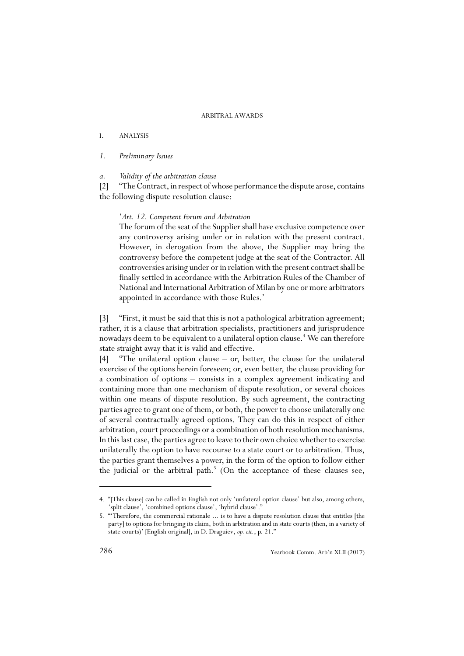# I. ANALYSIS

# *1. Preliminary Issues*

#### *a. Validity of the arbitration clause*

[2] "The Contract, in respect of whose performance the dispute arose, contains the following dispute resolution clause:

### '*Art. 12. Competent Forum and Arbitration*

The forum of the seat of the Supplier shall have exclusive competence over any controversy arising under or in relation with the present contract. However, in derogation from the above, the Supplier may bring the controversy before the competent judge at the seat of the Contractor. All controversies arising under or in relation with the present contract shall be finally settled in accordance with the Arbitration Rules of the Chamber of National and International Arbitration of Milan by one or more arbitrators appointed in accordance with those Rules.'

[3] "First, it must be said that this is not a pathological arbitration agreement; rather, it is a clause that arbitration specialists, practitioners and jurisprudence nowadays deem to be equivalent to a unilateral option clause.<sup>4</sup> We can therefore state straight away that it is valid and effective.

[4] "The unilateral option clause – or, better, the clause for the unilateral exercise of the options herein foreseen; or, even better, the clause providing for a combination of options – consists in a complex agreement indicating and containing more than one mechanism of dispute resolution, or several choices within one means of dispute resolution. By such agreement, the contracting parties agree to grant one of them, or both, the power to choose unilaterally one of several contractually agreed options. They can do this in respect of either arbitration, court proceedings or a combination of both resolution mechanisms. In this last case, the parties agree to leave to their own choice whether to exercise unilaterally the option to have recourse to a state court or to arbitration. Thus, the parties grant themselves a power, in the form of the option to follow either the judicial or the arbitral path.<sup>5</sup> (On the acceptance of these clauses see,

<sup>4. &</sup>quot;[This clause] can be called in English not only 'unilateral option clause' but also, among others, 'split clause', 'combined options clause', 'hybrid clause'."

<sup>5. &</sup>quot;'Therefore, the commercial rationale ... is to have a dispute resolution clause that entitles [the party] to options for bringing its claim, both in arbitration and in state courts (then, in a variety of state courts)' [English original], in D. Draguiev, *op. cit.*, p. 21."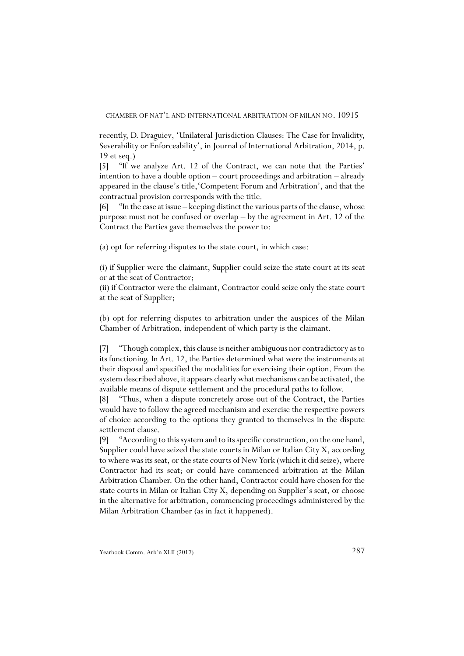recently, D. Draguiev, 'Unilateral Jurisdiction Clauses: The Case for Invalidity, Severability or Enforceability', in Journal of International Arbitration, 2014, p. 19 et seq.)

[5] "If we analyze Art. 12 of the Contract, we can note that the Parties' intention to have a double option – court proceedings and arbitration – already appeared in the clause's title,'Competent Forum and Arbitration', and that the contractual provision corresponds with the title.

[6] "In the case at issue – keeping distinct the various parts of the clause, whose purpose must not be confused or overlap – by the agreement in Art. 12 of the Contract the Parties gave themselves the power to:

(a) opt for referring disputes to the state court, in which case:

(i) if Supplier were the claimant, Supplier could seize the state court at its seat or at the seat of Contractor;

(ii) if Contractor were the claimant, Contractor could seize only the state court at the seat of Supplier;

(b) opt for referring disputes to arbitration under the auspices of the Milan Chamber of Arbitration, independent of which party is the claimant.

[7] "Though complex, this clause is neither ambiguous nor contradictory as to its functioning. In Art. 12, the Parties determined what were the instruments at their disposal and specified the modalities for exercising their option. From the system described above, it appears clearly what mechanisms can be activated, the available means of dispute settlement and the procedural paths to follow.

[8] "Thus, when a dispute concretely arose out of the Contract, the Parties would have to follow the agreed mechanism and exercise the respective powers of choice according to the options they granted to themselves in the dispute settlement clause.

[9] "According to this system and to its specific construction, on the one hand, Supplier could have seized the state courts in Milan or Italian City X, according to where was its seat, or the state courts of New York (which it did seize), where Contractor had its seat; or could have commenced arbitration at the Milan Arbitration Chamber. On the other hand, Contractor could have chosen for the state courts in Milan or Italian City X, depending on Supplier's seat, or choose in the alternative for arbitration, commencing proceedings administered by the Milan Arbitration Chamber (as in fact it happened).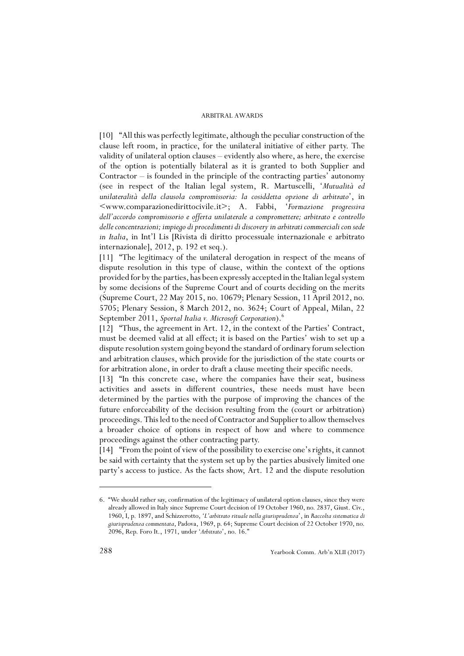[10] "All this was perfectly legitimate, although the peculiar construction of the clause left room, in practice, for the unilateral initiative of either party. The validity of unilateral option clauses – evidently also where, as here, the exercise of the option is potentially bilateral as it is granted to both Supplier and Contractor – is founded in the principle of the contracting parties' autonomy (see in respect of the Italian legal system, R. Martuscelli, '*Mutualità ed unilateralità della clausola compromissoria: la cosiddetta opzione di arbitrato*', in <www.comparazionedirittocivile.it>; A. Fabbi, '*Formazione progressiva dell'accordo compromissorio e offerta unilaterale a compromettere; arbitrato e controllo delle concentrazioni; impiego di procedimenti di discovery in arbitrati commerciali con sede in Italia*, in Int'l Lis [Rivista di diritto processuale internazionale e arbitrato internazionale], 2012, p. 192 et seq.).

[11] "The legitimacy of the unilateral derogation in respect of the means of dispute resolution in this type of clause, within the context of the options provided for by the parties, has been expressly accepted in the Italian legal system by some decisions of the Supreme Court and of courts deciding on the merits (Supreme Court, 22 May 2015, no. 10679; Plenary Session, 11 April 2012, no. 5705; Plenary Session, 8 March 2012, no. 3624; Court of Appeal, Milan, 22 September 2011, *Sportal Italia v. Microsoft Corporation*).6

[12] "Thus, the agreement in Art. 12, in the context of the Parties' Contract, must be deemed valid at all effect; it is based on the Parties' wish to set up a dispute resolution system going beyond the standard of ordinary forum selection and arbitration clauses, which provide for the jurisdiction of the state courts or for arbitration alone, in order to draft a clause meeting their specific needs.

[13] "In this concrete case, where the companies have their seat, business activities and assets in different countries, these needs must have been determined by the parties with the purpose of improving the chances of the future enforceability of the decision resulting from the (court or arbitration) proceedings. This led to the need of Contractor and Supplier to allow themselves a broader choice of options in respect of how and where to commence proceedings against the other contracting party.

[14] "From the point of view of the possibility to exercise one's rights, it cannot be said with certainty that the system set up by the parties abusively limited one party's access to justice. As the facts show, Art. 12 and the dispute resolution

<sup>6. &</sup>quot;We should rather say, confirmation of the legitimacy of unilateral option clauses, since they were already allowed in Italy since Supreme Court decision of 19 October 1960, no. 2837, Giust. Civ., 1960, I, p. 1897, and Schizzerotto, '*L'arbitrato rituale nella giurisprudenza*', in *Raccolta sistematica di giurisprudenza commentata*, Padova, 1969, p. 64; Supreme Court decision of 22 October 1970, no. 2096, Rep. Foro It., 1971, under '*Arbitrato*', no. 16."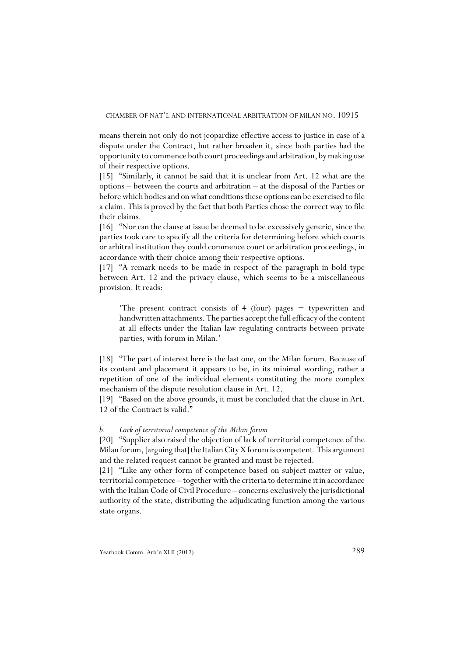means therein not only do not jeopardize effective access to justice in case of a dispute under the Contract, but rather broaden it, since both parties had the opportunity to commence both court proceedings and arbitration, by making use of their respective options.

[15] "Similarly, it cannot be said that it is unclear from Art. 12 what are the options – between the courts and arbitration – at the disposal of the Parties or before which bodies and on what conditions these options can be exercised to file a claim. This is proved by the fact that both Parties chose the correct way to file their claims.

[16] "Nor can the clause at issue be deemed to be excessively generic, since the parties took care to specify all the criteria for determining before which courts or arbitral institution they could commence court or arbitration proceedings, in accordance with their choice among their respective options.

[17] "A remark needs to be made in respect of the paragraph in bold type between Art. 12 and the privacy clause, which seems to be a miscellaneous provision. It reads:

'The present contract consists of 4 (four) pages + typewritten and handwritten attachments. The parties accept the full efficacy of the content at all effects under the Italian law regulating contracts between private parties, with forum in Milan.'

[18] "The part of interest here is the last one, on the Milan forum. Because of its content and placement it appears to be, in its minimal wording, rather a repetition of one of the individual elements constituting the more complex mechanism of the dispute resolution clause in Art. 12.

[19] "Based on the above grounds, it must be concluded that the clause in Art. 12 of the Contract is valid."

# *b. Lack of territorial competence of the Milan forum*

[20] "Supplier also raised the objection of lack of territorial competence of the Milan forum, [arguing that] the Italian City X forum is competent. This argument and the related request cannot be granted and must be rejected.

[21] "Like any other form of competence based on subject matter or value, territorial competence – together with the criteria to determine it in accordance with the Italian Code of Civil Procedure – concerns exclusively the jurisdictional authority of the state, distributing the adjudicating function among the various state organs.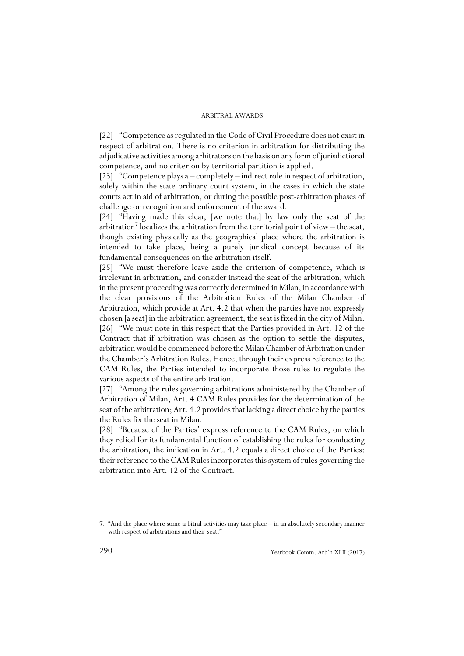[22] "Competence as regulated in the Code of Civil Procedure does not exist in respect of arbitration. There is no criterion in arbitration for distributing the adjudicative activities among arbitrators on the basis on any form of jurisdictional competence, and no criterion by territorial partition is applied.

[23] "Competence plays a – completely – indirect role in respect of arbitration, solely within the state ordinary court system, in the cases in which the state courts act in aid of arbitration, or during the possible post-arbitration phases of challenge or recognition and enforcement of the award.

[24] "Having made this clear, [we note that] by law only the seat of the arbitration<sup>7</sup> localizes the arbitration from the territorial point of view – the seat, though existing physically as the geographical place where the arbitration is intended to take place, being a purely juridical concept because of its fundamental consequences on the arbitration itself.

[25] "We must therefore leave aside the criterion of competence, which is irrelevant in arbitration, and consider instead the seat of the arbitration, which in the present proceeding was correctly determined in Milan, in accordance with the clear provisions of the Arbitration Rules of the Milan Chamber of Arbitration, which provide at Art. 4.2 that when the parties have not expressly chosen [a seat] in the arbitration agreement, the seat is fixed in the city of Milan. [26] "We must note in this respect that the Parties provided in Art. 12 of the Contract that if arbitration was chosen as the option to settle the disputes, arbitration would be commenced before the Milan Chamber of Arbitration under the Chamber's Arbitration Rules. Hence, through their express reference to the CAM Rules, the Parties intended to incorporate those rules to regulate the various aspects of the entire arbitration.

[27] "Among the rules governing arbitrations administered by the Chamber of Arbitration of Milan, Art. 4 CAM Rules provides for the determination of the seat of the arbitration; Art. 4.2 provides that lacking a direct choice by the parties the Rules fix the seat in Milan.

[28] "Because of the Parties' express reference to the CAM Rules, on which they relied for its fundamental function of establishing the rules for conducting the arbitration, the indication in Art. 4.2 equals a direct choice of the Parties: their reference to the CAM Rules incorporates this system of rules governing the arbitration into Art. 12 of the Contract.

<sup>7. &</sup>quot;And the place where some arbitral activities may take place – in an absolutely secondary manner with respect of arbitrations and their seat."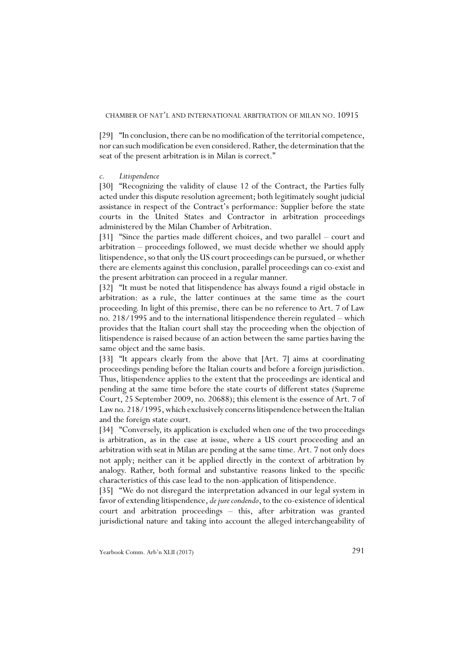[29] "In conclusion, there can be no modification of the territorial competence, nor can such modification be even considered. Rather, the determination that the seat of the present arbitration is in Milan is correct."

#### *c. Litispendence*

[30] "Recognizing the validity of clause 12 of the Contract, the Parties fully acted under this dispute resolution agreement; both legitimately sought judicial assistance in respect of the Contract's performance: Supplier before the state courts in the United States and Contractor in arbitration proceedings administered by the Milan Chamber of Arbitration.

[31] "Since the parties made different choices, and two parallel – court and arbitration – proceedings followed, we must decide whether we should apply litispendence, so that only the US court proceedings can be pursued, or whether there are elements against this conclusion, parallel proceedings can co-exist and the present arbitration can proceed in a regular manner.

[32] "It must be noted that litispendence has always found a rigid obstacle in arbitration: as a rule, the latter continues at the same time as the court proceeding. In light of this premise, there can be no reference to Art. 7 of Law no. 218/1995 and to the international litispendence therein regulated – which provides that the Italian court shall stay the proceeding when the objection of litispendence is raised because of an action between the same parties having the same object and the same basis.

[33] "It appears clearly from the above that [Art. 7] aims at coordinating proceedings pending before the Italian courts and before a foreign jurisdiction. Thus, litispendence applies to the extent that the proceedings are identical and pending at the same time before the state courts of different states (Supreme Court, 25 September 2009, no. 20688); this element is the essence of Art. 7 of Law no. 218/1995, which exclusively concerns litispendence between the Italian and the foreign state court.

[34] "Conversely, its application is excluded when one of the two proceedings is arbitration, as in the case at issue, where a US court proceeding and an arbitration with seat in Milan are pending at the same time. Art. 7 not only does not apply; neither can it be applied directly in the context of arbitration by analogy. Rather, both formal and substantive reasons linked to the specific characteristics of this case lead to the non-application of litispendence.

[35] "We do not disregard the interpretation advanced in our legal system in favor of extending litispendence, *de jure condendo*, to the co-existence of identical court and arbitration proceedings – this, after arbitration was granted jurisdictional nature and taking into account the alleged interchangeability of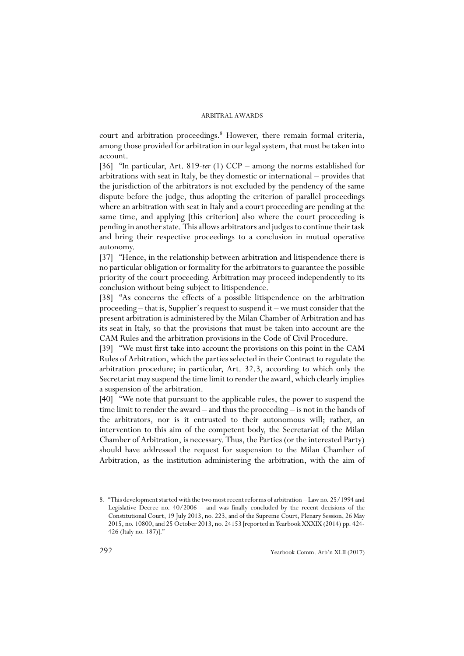court and arbitration proceedings.<sup>8</sup> However, there remain formal criteria, among those provided for arbitration in our legal system, that must be taken into account.

[36] "In particular, Art. 819-*ter* (1) CCP – among the norms established for arbitrations with seat in Italy, be they domestic or international – provides that the jurisdiction of the arbitrators is not excluded by the pendency of the same dispute before the judge, thus adopting the criterion of parallel proceedings where an arbitration with seat in Italy and a court proceeding are pending at the same time, and applying [this criterion] also where the court proceeding is pending in another state. This allows arbitrators and judges to continue their task and bring their respective proceedings to a conclusion in mutual operative autonomy.

[37] "Hence, in the relationship between arbitration and litispendence there is no particular obligation or formality for the arbitrators to guarantee the possible priority of the court proceeding. Arbitration may proceed independently to its conclusion without being subject to litispendence.

[38] "As concerns the effects of a possible litispendence on the arbitration proceeding – that is, Supplier's request to suspend it – we must consider that the present arbitration is administered by the Milan Chamber of Arbitration and has its seat in Italy, so that the provisions that must be taken into account are the CAM Rules and the arbitration provisions in the Code of Civil Procedure.

[39] "We must first take into account the provisions on this point in the CAM Rules of Arbitration, which the parties selected in their Contract to regulate the arbitration procedure; in particular, Art. 32.3, according to which only the Secretariat may suspend the time limit to render the award, which clearly implies a suspension of the arbitration.

[40] "We note that pursuant to the applicable rules, the power to suspend the time limit to render the award – and thus the proceeding – is not in the hands of the arbitrators, nor is it entrusted to their autonomous will; rather, an intervention to this aim of the competent body, the Secretariat of the Milan Chamber of Arbitration, is necessary. Thus, the Parties (or the interested Party) should have addressed the request for suspension to the Milan Chamber of Arbitration, as the institution administering the arbitration, with the aim of

<sup>8. &</sup>quot;This development started with the two most recent reforms of arbitration – Law no. 25/1994 and Legislative Decree no. 40/2006 – and was finally concluded by the recent decisions of the Constitutional Court, 19 July 2013, no. 223, and of the Supreme Court, Plenary Session, 26 May 2015, no. 10800, and 25 October 2013, no. 24153 [reported in Yearbook XXXIX (2014) pp. 424- 426 (Italy no. 187)]."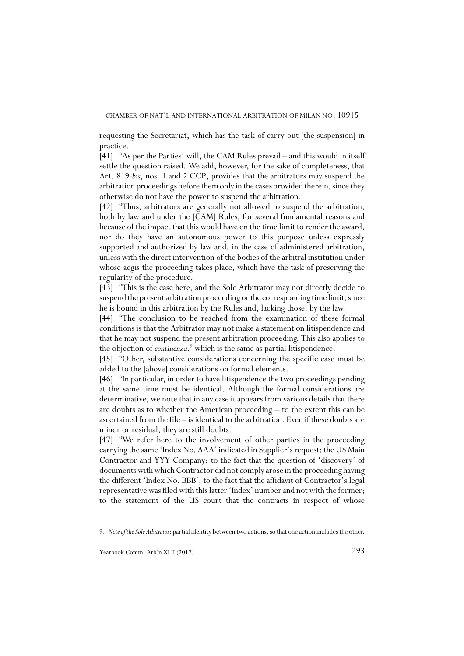#### CHAMBER OF NAT'L AND INTERNATIONAL ARBITRATION OF MILAN NO. 10915

requesting the Secretariat, which has the task of carry out [the suspension] in practice.

[41] "As per the Parties' will, the CAM Rules prevail – and this would in itself settle the question raised. We add, however, for the sake of completeness, that Art. 819-*bis*, nos. 1 and 2 CCP, provides that the arbitrators may suspend the arbitration proceedings before them only in the cases provided therein, since they otherwise do not have the power to suspend the arbitration.

[42] "Thus, arbitrators are generally not allowed to suspend the arbitration, both by law and under the [CAM] Rules, for several fundamental reasons and because of the impact that this would have on the time limit to render the award, nor do they have an autonomous power to this purpose unless expressly supported and authorized by law and, in the case of administered arbitration, unless with the direct intervention of the bodies of the arbitral institution under whose aegis the proceeding takes place, which have the task of preserving the regularity of the procedure.

[43] "This is the case here, and the Sole Arbitrator may not directly decide to suspend the present arbitration proceeding or the corresponding time limit, since he is bound in this arbitration by the Rules and, lacking those, by the law.

[44] "The conclusion to be reached from the examination of these formal conditions is that the Arbitrator may not make a statement on litispendence and that he may not suspend the present arbitration proceeding. This also applies to the objection of *continenza*, 9 which is the same as partial litispendence.

[45] "Other, substantive considerations concerning the specific case must be added to the [above] considerations on formal elements.

[46] "In particular, in order to have litispendence the two proceedings pending at the same time must be identical. Although the formal considerations are determinative, we note that in any case it appears from various details that there are doubts as to whether the American proceeding – to the extent this can be ascertained from the file – is identical to the arbitration. Even if these doubts are minor or residual, they are still doubts.

[47] "We refer here to the involvement of other parties in the proceeding carrying the same 'Index No. AAA' indicated in Supplier's request: the US Main Contractor and YYY Company; to the fact that the question of 'discovery' of documents with which Contractor did not comply arose in the proceeding having the different 'Index No. BBB'; to the fact that the affidavit of Contractor's legal representative was filed with this latter 'Index' number and not with the former; to the statement of the US court that the contracts in respect of whose

<sup>9.</sup> *Note of the Sole Arbitrator*: partial identity between two actions, so that one action includes the other.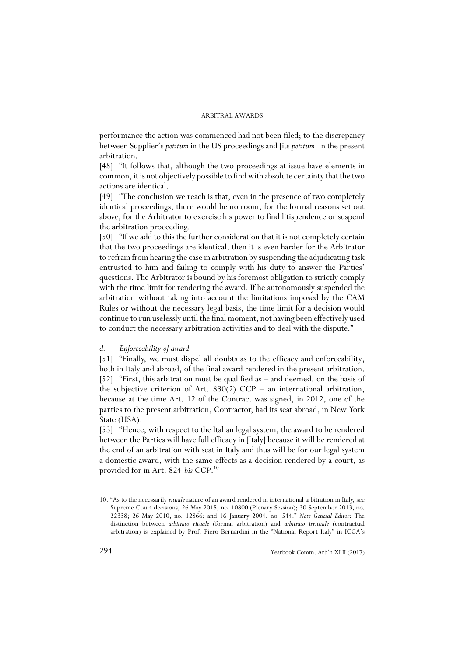performance the action was commenced had not been filed; to the discrepancy between Supplier's *petitum* in the US proceedings and [its *petitum*] in the present arbitration.

[48] "It follows that, although the two proceedings at issue have elements in common, it is not objectively possible to find with absolute certainty that the two actions are identical.

[49] "The conclusion we reach is that, even in the presence of two completely identical proceedings, there would be no room, for the formal reasons set out above, for the Arbitrator to exercise his power to find litispendence or suspend the arbitration proceeding.

[50] "If we add to this the further consideration that it is not completely certain that the two proceedings are identical, then it is even harder for the Arbitrator to refrain from hearing the case in arbitration by suspending the adjudicating task entrusted to him and failing to comply with his duty to answer the Parties' questions. The Arbitrator is bound by his foremost obligation to strictly comply with the time limit for rendering the award. If he autonomously suspended the arbitration without taking into account the limitations imposed by the CAM Rules or without the necessary legal basis, the time limit for a decision would continue to run uselessly until the final moment, not having been effectively used to conduct the necessary arbitration activities and to deal with the dispute."

#### *d. Enforceability of award*

[51] "Finally, we must dispel all doubts as to the efficacy and enforceability, both in Italy and abroad, of the final award rendered in the present arbitration. [52] "First, this arbitration must be qualified as – and deemed, on the basis of the subjective criterion of Art. 830(2) CCP – an international arbitration, because at the time Art. 12 of the Contract was signed, in 2012, one of the parties to the present arbitration, Contractor, had its seat abroad, in New York State (USA).

[53] "Hence, with respect to the Italian legal system, the award to be rendered between the Parties will have full efficacy in [Italy] because it will be rendered at the end of an arbitration with seat in Italy and thus will be for our legal system a domestic award, with the same effects as a decision rendered by a court, as provided for in Art. 824-*bis* CCP.10

<sup>10. &</sup>quot;As to the necessarily *rituale* nature of an award rendered in international arbitration in Italy, see Supreme Court decisions, 26 May 2015, no. 10800 (Plenary Session); 30 September 2013, no. 22338; 26 May 2010, no. 12866; and 16 January 2004, no. 544." *Note General Editor*: The distinction between *arbitrato rituale* (formal arbitration) and *arbitrato irrituale* (contractual arbitration) is explained by Prof. Piero Bernardini in the "National Report Italy" in ICCA's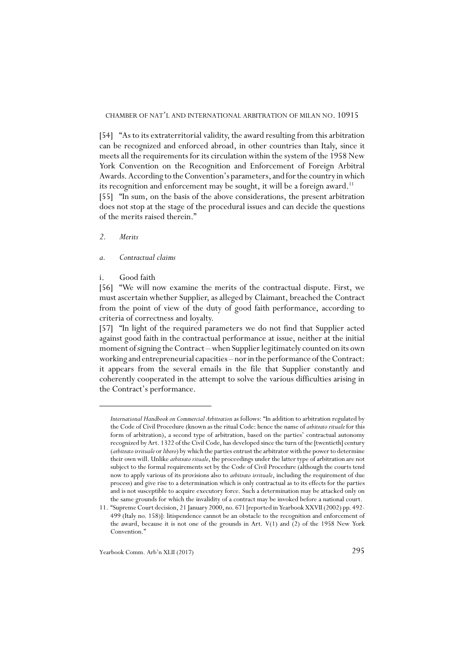[54] "As to its extraterritorial validity, the award resulting from this arbitration can be recognized and enforced abroad, in other countries than Italy, since it meets all the requirements for its circulation within the system of the 1958 New York Convention on the Recognition and Enforcement of Foreign Arbitral Awards. According to the Convention's parameters, and for the country in which its recognition and enforcement may be sought, it will be a foreign award.<sup>11</sup>

[55] "In sum, on the basis of the above considerations, the present arbitration does not stop at the stage of the procedural issues and can decide the questions of the merits raised therein."

# *2. Merits*

#### *a. Contractual claims*

# i. Good faith

[56] "We will now examine the merits of the contractual dispute. First, we must ascertain whether Supplier, as alleged by Claimant, breached the Contract from the point of view of the duty of good faith performance, according to criteria of correctness and loyalty.

[57] "In light of the required parameters we do not find that Supplier acted against good faith in the contractual performance at issue, neither at the initial moment of signing the Contract – when Supplier legitimately counted on its own working and entrepreneurial capacities – nor in the performance of the Contract: it appears from the several emails in the file that Supplier constantly and coherently cooperated in the attempt to solve the various difficulties arising in the Contract's performance.

*International Handbook on Commercial Arbitration* as follows: "In addition to arbitration regulated by the Code of Civil Procedure (known as the ritual Code: hence the name of *arbitrato rituale* for this form of arbitration), a second type of arbitration, based on the parties' contractual autonomy recognized by Art. 1322 of the Civil Code, has developed since the turn of the [twentieth] century (*arbitrato irrituale* or *libero*) by which the parties entrust the arbitrator with the power to determine their own will. Unlike *arbitrato rituale*, the proceedings under the latter type of arbitration are not subject to the formal requirements set by the Code of Civil Procedure (although the courts tend now to apply various of its provisions also to *arbitrato irrituale*, including the requirement of due process) and give rise to a determination which is only contractual as to its effects for the parties and is not susceptible to acquire executory force. Such a determination may be attacked only on the same grounds for which the invalidity of a contract may be invoked before a national court.

<sup>11. &</sup>quot;Supreme Court decision, 21 January 2000, no. 671 [reported in Yearbook XXVII (2002) pp. 492- 499 (Italy no. 158)]: litispendence cannot be an obstacle to the recognition and enforcement of the award, because it is not one of the grounds in Art. V(1) and (2) of the 1958 New York Convention."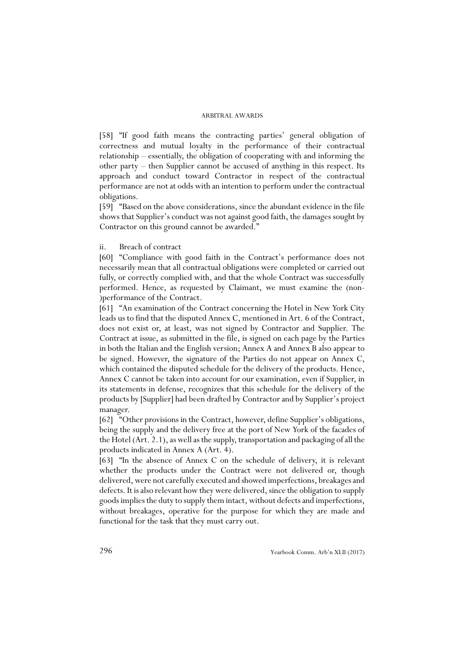[58] "If good faith means the contracting parties' general obligation of correctness and mutual loyalty in the performance of their contractual relationship – essentially, the obligation of cooperating with and informing the other party – then Supplier cannot be accused of anything in this respect. Its approach and conduct toward Contractor in respect of the contractual performance are not at odds with an intention to perform under the contractual obligations.

[59] "Based on the above considerations, since the abundant evidence in the file shows that Supplier's conduct was not against good faith, the damages sought by Contractor on this ground cannot be awarded."

#### ii. Breach of contract

[60] "Compliance with good faith in the Contract's performance does not necessarily mean that all contractual obligations were completed or carried out fully, or correctly complied with, and that the whole Contract was successfully performed. Hence, as requested by Claimant, we must examine the (non- )performance of the Contract.

[61] "An examination of the Contract concerning the Hotel in New York City leads us to find that the disputed Annex C, mentioned in Art. 6 of the Contract, does not exist or, at least, was not signed by Contractor and Supplier. The Contract at issue, as submitted in the file, is signed on each page by the Parties in both the Italian and the English version; Annex A and Annex B also appear to be signed. However, the signature of the Parties do not appear on Annex C, which contained the disputed schedule for the delivery of the products. Hence, Annex C cannot be taken into account for our examination, even if Supplier, in its statements in defense, recognizes that this schedule for the delivery of the products by [Supplier] had been drafted by Contractor and by Supplier's project manager.

[62] "Other provisions in the Contract, however, define Supplier's obligations, being the supply and the delivery free at the port of New York of the facades of the Hotel (Art. 2.1), as well as the supply, transportation and packaging of all the products indicated in Annex A (Art. 4).

[63] "In the absence of Annex C on the schedule of delivery, it is relevant whether the products under the Contract were not delivered or, though delivered, were not carefully executed and showed imperfections, breakages and defects. It is also relevant how they were delivered, since the obligation to supply goods implies the duty to supply them intact, without defects and imperfections, without breakages, operative for the purpose for which they are made and functional for the task that they must carry out.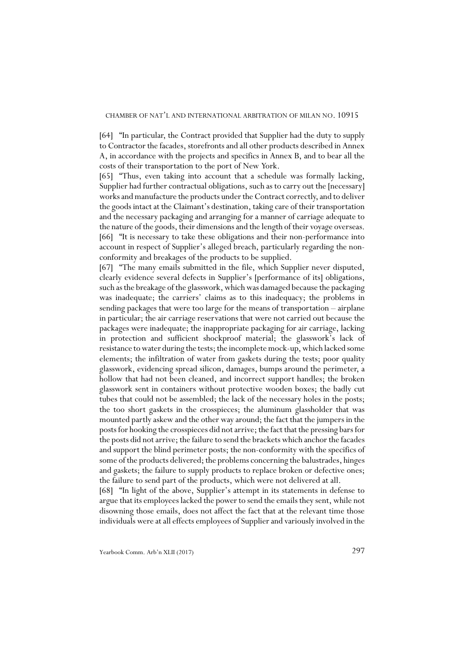[64] "In particular, the Contract provided that Supplier had the duty to supply to Contractor the facades, storefronts and all other products described in Annex A, in accordance with the projects and specifics in Annex B, and to bear all the costs of their transportation to the port of New York.

[65] "Thus, even taking into account that a schedule was formally lacking, Supplier had further contractual obligations, such as to carry out the [necessary] works and manufacture the products under the Contract correctly, and to deliver the goods intact at the Claimant's destination, taking care of their transportation and the necessary packaging and arranging for a manner of carriage adequate to the nature of the goods, their dimensions and the length of their voyage overseas. [66] "It is necessary to take these obligations and their non-performance into account in respect of Supplier's alleged breach, particularly regarding the nonconformity and breakages of the products to be supplied.

[67] "The many emails submitted in the file, which Supplier never disputed, clearly evidence several defects in Supplier's [performance of its] obligations, such as the breakage of the glasswork, which was damaged because the packaging was inadequate; the carriers' claims as to this inadequacy; the problems in sending packages that were too large for the means of transportation – airplane in particular; the air carriage reservations that were not carried out because the packages were inadequate; the inappropriate packaging for air carriage, lacking in protection and sufficient shockproof material; the glasswork's lack of resistance to water during the tests; the incomplete mock-up, which lacked some elements; the infiltration of water from gaskets during the tests; poor quality glasswork, evidencing spread silicon, damages, bumps around the perimeter, a hollow that had not been cleaned, and incorrect support handles; the broken glasswork sent in containers without protective wooden boxes; the badly cut tubes that could not be assembled; the lack of the necessary holes in the posts; the too short gaskets in the crosspieces; the aluminum glassholder that was mounted partly askew and the other way around; the fact that the jumpers in the posts for hooking the crosspieces did not arrive; the fact that the pressing bars for the posts did not arrive; the failure to send the brackets which anchor the facades and support the blind perimeter posts; the non-conformity with the specifics of some of the products delivered; the problems concerning the balustrades, hinges and gaskets; the failure to supply products to replace broken or defective ones; the failure to send part of the products, which were not delivered at all.

[68] "In light of the above, Supplier's attempt in its statements in defense to argue that its employees lacked the power to send the emails they sent, while not disowning those emails, does not affect the fact that at the relevant time those individuals were at all effects employees of Supplier and variously involved in the

Yearbook Comm. Arb'n XLII (2017) 297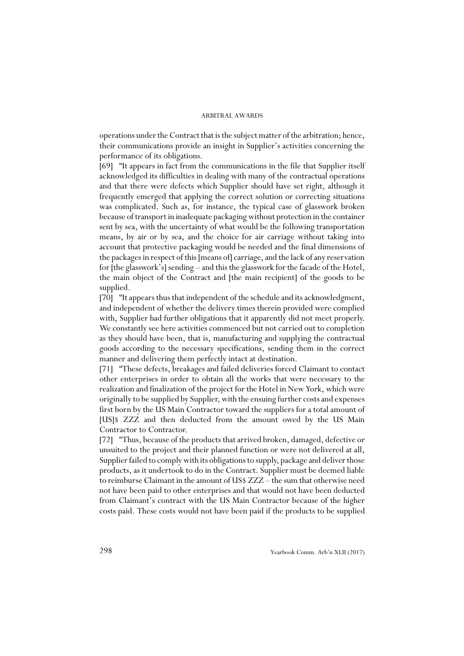operations under the Contract that is the subject matter of the arbitration; hence, their communications provide an insight in Supplier's activities concerning the performance of its obligations.

[69] "It appears in fact from the communications in the file that Supplier itself acknowledged its difficulties in dealing with many of the contractual operations and that there were defects which Supplier should have set right, although it frequently emerged that applying the correct solution or correcting situations was complicated. Such as, for instance, the typical case of glasswork broken because of transport in inadequate packaging without protection in the container sent by sea, with the uncertainty of what would be the following transportation means, by air or by sea, and the choice for air carriage without taking into account that protective packaging would be needed and the final dimensions of the packages in respect of this [means of] carriage, and the lack of any reservation for [the glasswork's] sending – and this the glasswork for the facade of the Hotel, the main object of the Contract and [the main recipient] of the goods to be supplied.

[70] "It appears thus that independent of the schedule and its acknowledgment, and independent of whether the delivery times therein provided were complied with, Supplier had further obligations that it apparently did not meet properly. We constantly see here activities commenced but not carried out to completion as they should have been, that is, manufacturing and supplying the contractual goods according to the necessary specifications, sending them in the correct manner and delivering them perfectly intact at destination.

[71] "These defects, breakages and failed deliveries forced Claimant to contact other enterprises in order to obtain all the works that were necessary to the realization and finalization of the project for the Hotel in New York, which were originally to be supplied by Supplier, with the ensuing further costs and expenses first born by the US Main Contractor toward the suppliers for a total amount of [US]\$ ZZZ and then deducted from the amount owed by the US Main Contractor to Contractor.

[72] "Thus, because of the products that arrived broken, damaged, defective or unsuited to the project and their planned function or were not delivered at all, Supplier failed to comply with its obligations to supply, package and deliver those products, as it undertook to do in the Contract. Supplier must be deemed liable to reimburse Claimant in the amount of US\$ ZZZ – the sum that otherwise need not have been paid to other enterprises and that would not have been deducted from Claimant's contract with the US Main Contractor because of the higher costs paid. These costs would not have been paid if the products to be supplied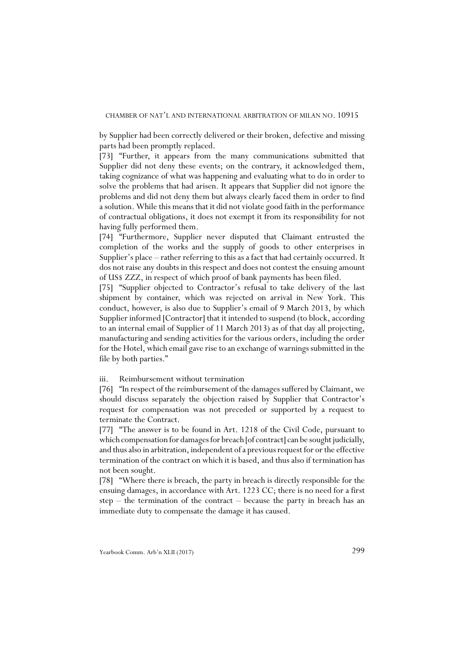by Supplier had been correctly delivered or their broken, defective and missing parts had been promptly replaced.

[73] "Further, it appears from the many communications submitted that Supplier did not deny these events; on the contrary, it acknowledged them, taking cognizance of what was happening and evaluating what to do in order to solve the problems that had arisen. It appears that Supplier did not ignore the problems and did not deny them but always clearly faced them in order to find a solution. While this means that it did not violate good faith in the performance of contractual obligations, it does not exempt it from its responsibility for not having fully performed them.

[74] "Furthermore, Supplier never disputed that Claimant entrusted the completion of the works and the supply of goods to other enterprises in Supplier's place – rather referring to this as a fact that had certainly occurred. It dos not raise any doubts in this respect and does not contest the ensuing amount of US\$ ZZZ, in respect of which proof of bank payments has been filed.

[75] "Supplier objected to Contractor's refusal to take delivery of the last shipment by container, which was rejected on arrival in New York. This conduct, however, is also due to Supplier's email of 9 March 2013, by which Supplier informed [Contractor] that it intended to suspend (to block, according to an internal email of Supplier of 11 March 2013) as of that day all projecting, manufacturing and sending activities for the various orders, including the order for the Hotel, which email gave rise to an exchange of warnings submitted in the file by both parties."

## iii. Reimbursement without termination

[76] "In respect of the reimbursement of the damages suffered by Claimant, we should discuss separately the objection raised by Supplier that Contractor's request for compensation was not preceded or supported by a request to terminate the Contract.

[77] "The answer is to be found in Art. 1218 of the Civil Code, pursuant to which compensation for damages for breach [of contract] can be sought judicially, and thus also in arbitration, independent of a previous request for or the effective termination of the contract on which it is based, and thus also if termination has not been sought.

[78] "Where there is breach, the party in breach is directly responsible for the ensuing damages, in accordance with Art. 1223 CC; there is no need for a first step  $-$  the termination of the contract  $-$  because the party in breach has an immediate duty to compensate the damage it has caused.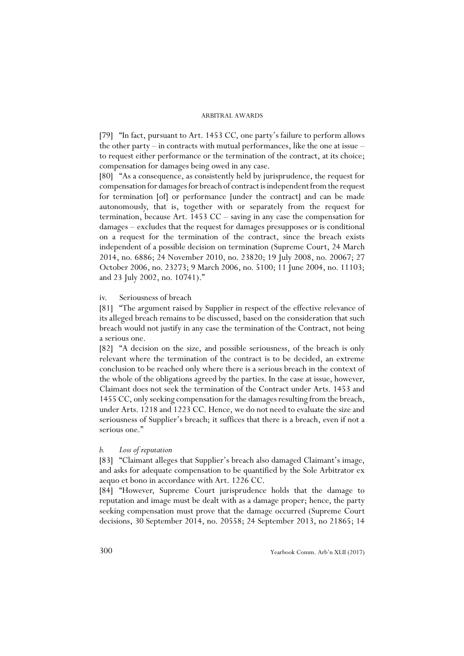[79] "In fact, pursuant to Art. 1453 CC, one party's failure to perform allows the other party – in contracts with mutual performances, like the one at issue – to request either performance or the termination of the contract, at its choice; compensation for damages being owed in any case.

[80] "As a consequence, as consistently held by jurisprudence, the request for compensation for damages for breach of contract is independent from the request for termination [of] or performance [under the contract] and can be made autonomously, that is, together with or separately from the request for termination, because Art. 1453 CC – saving in any case the compensation for damages – excludes that the request for damages presupposes or is conditional on a request for the termination of the contract, since the breach exists independent of a possible decision on termination (Supreme Court, 24 March 2014, no. 6886; 24 November 2010, no. 23820; 19 July 2008, no. 20067; 27 October 2006, no. 23273; 9 March 2006, no. 5100; 11 June 2004, no. 11103; and 23 July 2002, no. 10741)."

## iv. Seriousness of breach

[81] "The argument raised by Supplier in respect of the effective relevance of its alleged breach remains to be discussed, based on the consideration that such breach would not justify in any case the termination of the Contract, not being a serious one.

[82] "A decision on the size, and possible seriousness, of the breach is only relevant where the termination of the contract is to be decided, an extreme conclusion to be reached only where there is a serious breach in the context of the whole of the obligations agreed by the parties. In the case at issue, however, Claimant does not seek the termination of the Contract under Arts. 1453 and 1455 CC, only seeking compensation for the damages resulting from the breach, under Arts. 1218 and 1223 CC. Hence, we do not need to evaluate the size and seriousness of Supplier's breach; it suffices that there is a breach, even if not a serious one."

#### *b. Loss of reputation*

[83] "Claimant alleges that Supplier's breach also damaged Claimant's image, and asks for adequate compensation to be quantified by the Sole Arbitrator ex aequo et bono in accordance with Art. 1226 CC.

[84] "However, Supreme Court jurisprudence holds that the damage to reputation and image must be dealt with as a damage proper; hence, the party seeking compensation must prove that the damage occurred (Supreme Court decisions, 30 September 2014, no. 20558; 24 September 2013, no 21865; 14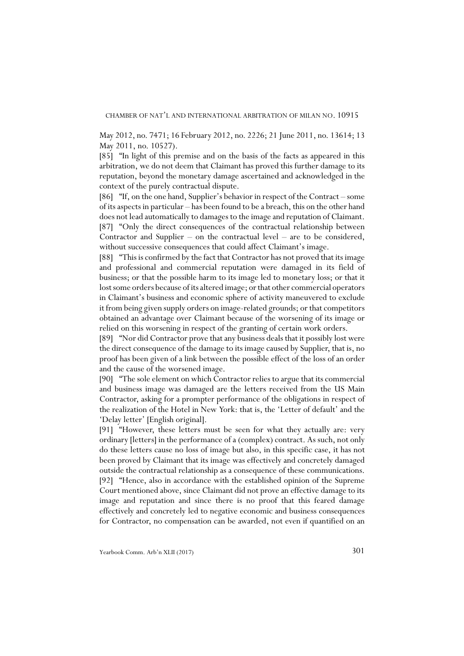#### CHAMBER OF NAT'L AND INTERNATIONAL ARBITRATION OF MILAN NO. 10915

May 2012, no. 7471; 16 February 2012, no. 2226; 21 June 2011, no. 13614; 13 May 2011, no. 10527).

[85] "In light of this premise and on the basis of the facts as appeared in this arbitration, we do not deem that Claimant has proved this further damage to its reputation, beyond the monetary damage ascertained and acknowledged in the context of the purely contractual dispute.

[86] "If, on the one hand, Supplier's behavior in respect of the Contract – some of its aspects in particular – has been found to be a breach, this on the other hand does not lead automatically to damages to the image and reputation of Claimant. [87] "Only the direct consequences of the contractual relationship between Contractor and Supplier – on the contractual level – are to be considered, without successive consequences that could affect Claimant's image.

[88] "This is confirmed by the fact that Contractor has not proved that its image and professional and commercial reputation were damaged in its field of business; or that the possible harm to its image led to monetary loss; or that it lost some orders because of its altered image; or that other commercial operators in Claimant's business and economic sphere of activity maneuvered to exclude it from being given supply orders on image-related grounds; or that competitors obtained an advantage over Claimant because of the worsening of its image or relied on this worsening in respect of the granting of certain work orders.

[89] "Nor did Contractor prove that any business deals that it possibly lost were the direct consequence of the damage to its image caused by Supplier, that is, no proof has been given of a link between the possible effect of the loss of an order and the cause of the worsened image.

[90] "The sole element on which Contractor relies to argue that its commercial and business image was damaged are the letters received from the US Main Contractor, asking for a prompter performance of the obligations in respect of the realization of the Hotel in New York: that is, the 'Letter of default' and the 'Delay letter' [English original].

[91] "However, these letters must be seen for what they actually are: very ordinary [letters] in the performance of a (complex) contract. As such, not only do these letters cause no loss of image but also, in this specific case, it has not been proved by Claimant that its image was effectively and concretely damaged outside the contractual relationship as a consequence of these communications. [92] "Hence, also in accordance with the established opinion of the Supreme Court mentioned above, since Claimant did not prove an effective damage to its image and reputation and since there is no proof that this feared damage effectively and concretely led to negative economic and business consequences for Contractor, no compensation can be awarded, not even if quantified on an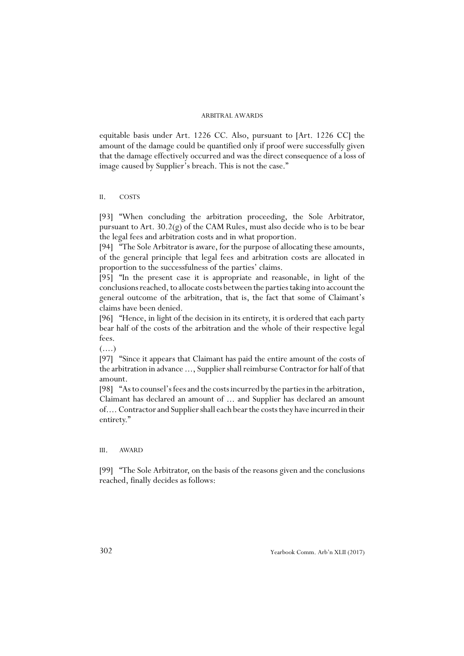equitable basis under Art. 1226 CC. Also, pursuant to [Art. 1226 CC] the amount of the damage could be quantified only if proof were successfully given that the damage effectively occurred and was the direct consequence of a loss of image caused by Supplier's breach. This is not the case."

## II. COSTS

[93] "When concluding the arbitration proceeding, the Sole Arbitrator, pursuant to Art. 30.2(g) of the CAM Rules, must also decide who is to be bear the legal fees and arbitration costs and in what proportion.

[94] "The Sole Arbitrator is aware, for the purpose of allocating these amounts, of the general principle that legal fees and arbitration costs are allocated in proportion to the successfulness of the parties' claims.

[95] "In the present case it is appropriate and reasonable, in light of the conclusions reached, to allocate costs between the parties taking into account the general outcome of the arbitration, that is, the fact that some of Claimant's claims have been denied.

[96] "Hence, in light of the decision in its entirety, it is ordered that each party bear half of the costs of the arbitration and the whole of their respective legal fees.

 $(\ldots)$ 

[97] "Since it appears that Claimant has paid the entire amount of the costs of the arbitration in advance ..., Supplier shall reimburse Contractor for half of that amount.

[98] "As to counsel's fees and the costs incurred by the parties in the arbitration, Claimant has declared an amount of ... and Supplier has declared an amount of.... Contractor and Supplier shall each bear the costs they have incurred in their entirety."

# III. AWARD

[99] "The Sole Arbitrator, on the basis of the reasons given and the conclusions reached, finally decides as follows: